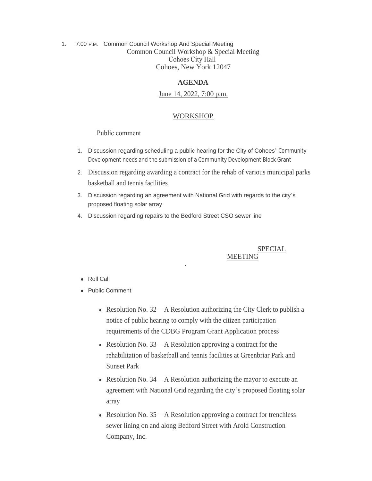1. 7:00 P.M. Common Council Workshop And Special Meeting Common Council Workshop & Special Meeting Cohoes City Hall Cohoes, New York 12047

### **AGENDA**

# June 14, 2022, 7:00 p.m.

## WORKSHOP

### Public comment

- 1. Discussion regarding scheduling a public hearing for the City of Cohoes' Community Development needs and the submission of a Community Development Block Grant
- 2. Discussion regarding awarding a contract for the rehab of various municipal parks basketball and tennis facilities
- 3. Discussion regarding an agreement with National Grid with regards to the city's proposed floating solar array
- 4. Discussion regarding repairs to the Bedford Street CSO sewer line

## SPECIAL MEETING

#### • Roll Call

- Public Comment
	- Resolution No.  $32 A$  Resolution authorizing the City Clerk to publish a notice of public hearing to comply with the citizen participation requirements of the CDBG Program Grant Application process
	- Resolution No.  $33 A$  Resolution approving a contract for the rehabilitation of basketball and tennis facilities at Greenbriar Park and Sunset Park
	- Resolution No.  $34 A$  Resolution authorizing the mayor to execute an agreement with National Grid regarding the city's proposed floating solar array
	- Resolution No.  $35 A$  Resolution approving a contract for trenchless sewer lining on and along Bedford Street with Arold Construction Company, Inc.